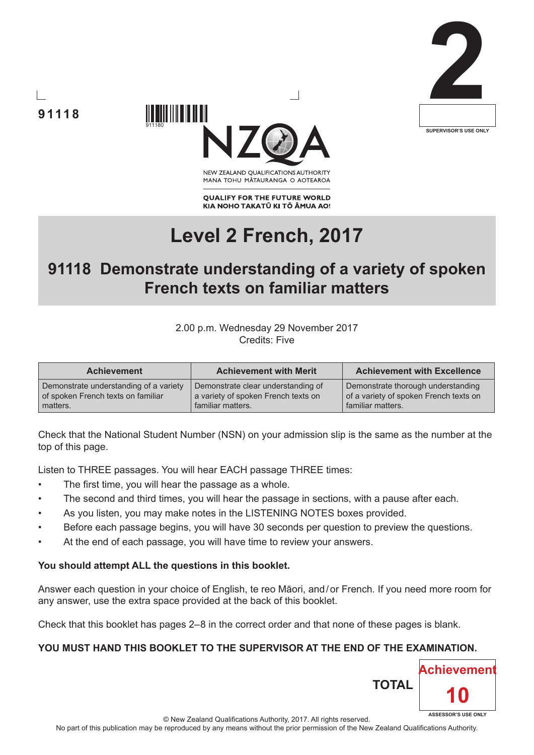





NEW ZEALAND OUALIFICATIONS AUTHORITY MANA TOHU MATAURANGA O AOTEAROA

**QUALIFY FOR THE FUTURE WORLD** KIA NOHO TAKATŪ KI TŌ ĀMUA AO!

# **Level 2 French, 2017**

## **91118 Demonstrate understanding of a variety of spoken French texts on familiar matters**

#### 2.00 p.m. Wednesday 29 November 2017 Credits: Five

| <b>Achievement</b>                     | <b>Achievement with Merit</b>       | <b>Achievement with Excellence</b>     |
|----------------------------------------|-------------------------------------|----------------------------------------|
| Demonstrate understanding of a variety | Demonstrate clear understanding of  | Demonstrate thorough understanding     |
| of spoken French texts on familiar     | a variety of spoken French texts on | of a variety of spoken French texts on |
| matters.                               | familiar matters.                   | familiar matters.                      |

Check that the National Student Number (NSN) on your admission slip is the same as the number at the top of this page.

Listen to THREE passages. You will hear EACH passage THREE times:

- The first time, you will hear the passage as a whole.
- The second and third times, you will hear the passage in sections, with a pause after each.
- As you listen, you may make notes in the LISTENING NOTES boxes provided.
- Before each passage begins, you will have 30 seconds per question to preview the questions.
- At the end of each passage, you will have time to review your answers.

#### **You should attempt ALL the questions in this booklet.**

Answer each question in your choice of English, te reo Māori, and/or French. If you need more room for any answer, use the extra space provided at the back of this booklet.

Check that this booklet has pages 2–8 in the correct order and that none of these pages is blank.

#### **YOU MUST HAND THIS BOOKLET TO THE SUPERVISOR AT THE END OF THE EXAMINATION.**

**TOTAL**

**Achievement**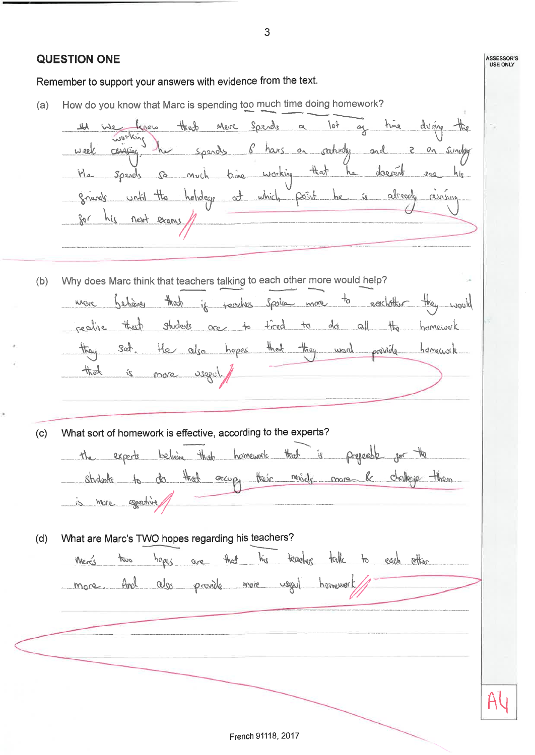3 **QUESTION ONE ASSESSOR'S**<br>USE ONLY Remember to support your answers with evidence from the text. How do you know that Marc is spending too much time doing homework?  $(a)$ ag time during the Merc Spends a lot that teres working spends of hairs on saturday and 2 on sunday تهبيع week He spends so much time working that he doesent see his grievels until the holidays at which point he is already reining for his next exams, Why does Marc think that teachers talking to each other more would help?  $(b)$ behave that if faculter Spoke more to eachother they would inere thast students are to tired to do all the homework realise they set. He also hopes that they used provide homework is more usepul. 长头 What sort of homework is effective, according to the experts?  $(c)$ the expects believe that homework that is prejected for the students to do that excupy their minds more be challege then is more expertise What are Marc's TWO hopes regarding his teachers?  $(d)$ teacher table to each other haps are that two ks Meres more And also provide more useful homework

French 91118, 2017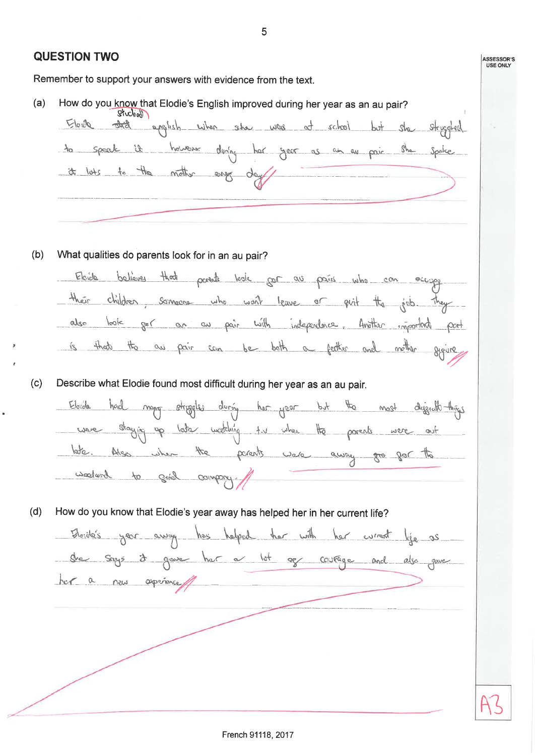|     | <b>QUESTION TWO</b>                                                                                                                                                                                                                                                                                                                                                      | <b>ASSESSOR'S</b><br><b>USE ONLY</b> |  |  |  |  |
|-----|--------------------------------------------------------------------------------------------------------------------------------------------------------------------------------------------------------------------------------------------------------------------------------------------------------------------------------------------------------------------------|--------------------------------------|--|--|--|--|
|     | Remember to support your answers with evidence from the text.                                                                                                                                                                                                                                                                                                            |                                      |  |  |  |  |
| (a) | How do you know that Elodie's English improved during her year as an au pair?<br>Sticlian<br>Elevel<br>applish when she was at school but she struggled<br>however during har gear as an au pair she spoke<br>Speak is<br>it loss to the nother eng day                                                                                                                  |                                      |  |  |  |  |
| (b) | What qualities do parents look for in an au pair?<br>Elcrelo<br>believer<br>that parents look for as pains who can occupy<br>their<br>children someone who wont leave or guit the pieb. They<br>ger an an pair with independence. Another important<br> cov <br>also<br>$f$ ort<br>theat<br>$\frac{1}{100}$<br>ai pair som be both a ferther and methor<br>$\mathcal{E}$ |                                      |  |  |  |  |
| (c) | Describe what Elodie found most difficult during her year as an au pair.<br>Eloide<br>oggles during her year<br>$P^4$<br>the most diggical things<br>wooding the when the parents were<br>Staying<br>the<br>parents use away gro for the<br>Also when<br>wagnes bing of bing                                                                                             |                                      |  |  |  |  |
| (d) | How do you know that Elodie's year away has helped her in her current life?<br>Bloide's year away has helped her with her wrast life as<br>che says it gave her a lot ser courage and also gave<br>har a new opening                                                                                                                                                     |                                      |  |  |  |  |
|     |                                                                                                                                                                                                                                                                                                                                                                          |                                      |  |  |  |  |

French 91118, 2017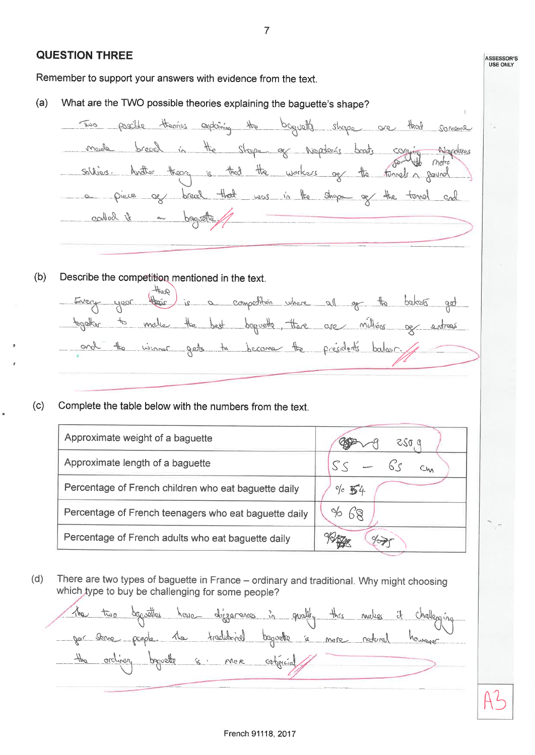**QUESTION THREE ASSESSOR'S**<br>USE ONLY Remember to support your answers with evidence from the text. What are the TWO possible theories explaining the baguette's shape?  $(a)$ Two positle theories explaining the baguette shape are that somene made breach in the shape of Niepden's brats commit Napoleons soldiers, Another theory is that the workers ag the funnels a gaund a piece ag bread that was in the shape of the tomel and called it on baguette,  $(b)$ Describe the competition mentioned in the text. Alest there is a competition where all get the below get Every year together to make the best beginette, there are million up entrops and the winner gets to become the presidents balcor.  $(c)$ Complete the table below with the numbers from the text. Approximate weight of a baquette

| <b>There williams</b> weight of a bagaette            |                  |
|-------------------------------------------------------|------------------|
| Approximate length of a baguette                      | $SS - 6s$        |
| Percentage of French children who eat baguette daily  | $\frac{6}{6}$ 54 |
| Percentage of French teenagers who eat baguette daily | 96 68            |
| Percentage of French adults who eat baguette daily    |                  |

 $(d)$ There are two types of baguette in France - ordinary and traditional. Why might choosing which type to buy be challenging for some people?

The two degivettes have differences in quality this makes it challenging par store people 11e traditivel bapcatte is more natural however the orchinery bequette is mer contencial